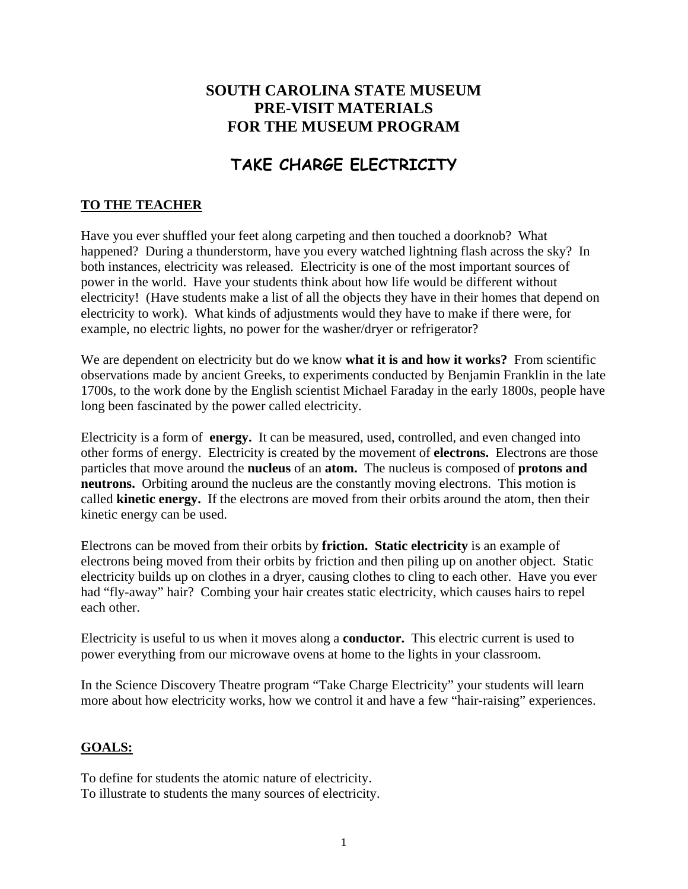## **SOUTH CAROLINA STATE MUSEUM PRE-VISIT MATERIALS FOR THE MUSEUM PROGRAM**

# **TAKE CHARGE ELECTRICITY**

### **TO THE TEACHER**

Have you ever shuffled your feet along carpeting and then touched a doorknob? What happened? During a thunderstorm, have you every watched lightning flash across the sky? In both instances, electricity was released. Electricity is one of the most important sources of power in the world. Have your students think about how life would be different without electricity! (Have students make a list of all the objects they have in their homes that depend on electricity to work). What kinds of adjustments would they have to make if there were, for example, no electric lights, no power for the washer/dryer or refrigerator?

We are dependent on electricity but do we know **what it is and how it works?** From scientific observations made by ancient Greeks, to experiments conducted by Benjamin Franklin in the late 1700s, to the work done by the English scientist Michael Faraday in the early 1800s, people have long been fascinated by the power called electricity.

Electricity is a form of **energy.** It can be measured, used, controlled, and even changed into other forms of energy. Electricity is created by the movement of **electrons.** Electrons are those particles that move around the **nucleus** of an **atom.** The nucleus is composed of **protons and neutrons.** Orbiting around the nucleus are the constantly moving electrons. This motion is called **kinetic energy.** If the electrons are moved from their orbits around the atom, then their kinetic energy can be used.

Electrons can be moved from their orbits by **friction. Static electricity** is an example of electrons being moved from their orbits by friction and then piling up on another object. Static electricity builds up on clothes in a dryer, causing clothes to cling to each other. Have you ever had "fly-away" hair? Combing your hair creates static electricity, which causes hairs to repel each other.

Electricity is useful to us when it moves along a **conductor.** This electric current is used to power everything from our microwave ovens at home to the lights in your classroom.

In the Science Discovery Theatre program "Take Charge Electricity" your students will learn more about how electricity works, how we control it and have a few "hair-raising" experiences.

#### **GOALS:**

To define for students the atomic nature of electricity. To illustrate to students the many sources of electricity.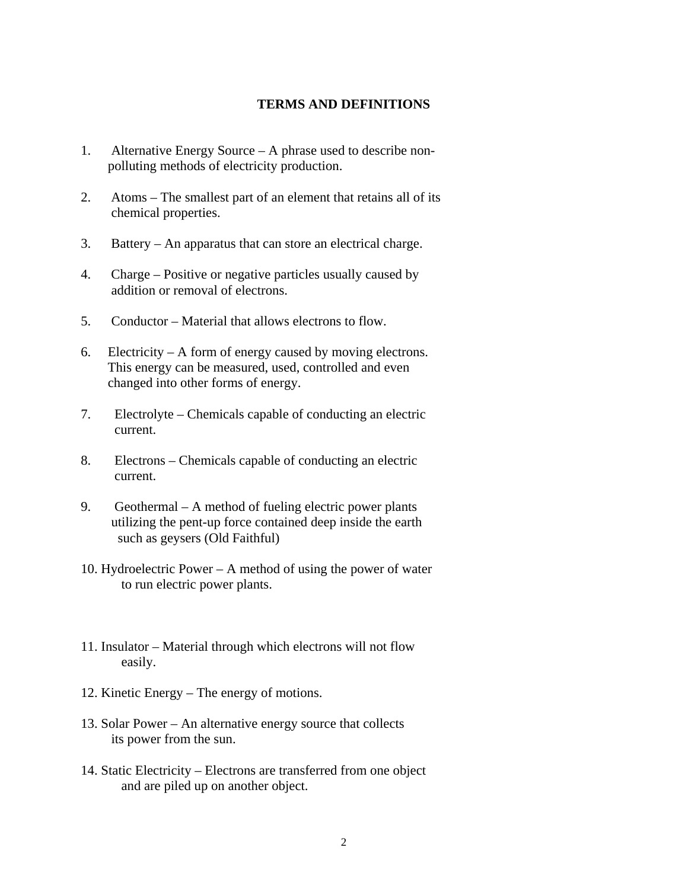#### **TERMS AND DEFINITIONS**

- 1. Alternative Energy Source A phrase used to describe non polluting methods of electricity production.
- 2. Atoms The smallest part of an element that retains all of its chemical properties.
- 3. Battery An apparatus that can store an electrical charge.
- 4. Charge Positive or negative particles usually caused by addition or removal of electrons.
- 5. Conductor Material that allows electrons to flow.
- 6. Electricity A form of energy caused by moving electrons. This energy can be measured, used, controlled and even changed into other forms of energy.
- 7. Electrolyte Chemicals capable of conducting an electric current.
- 8. Electrons Chemicals capable of conducting an electric current.
- 9. Geothermal A method of fueling electric power plants utilizing the pent-up force contained deep inside the earth such as geysers (Old Faithful)
- 10. Hydroelectric Power A method of using the power of water to run electric power plants.
- 11. Insulator Material through which electrons will not flow easily.
- 12. Kinetic Energy The energy of motions.
- 13. Solar Power An alternative energy source that collects its power from the sun.
- 14. Static Electricity Electrons are transferred from one object and are piled up on another object.